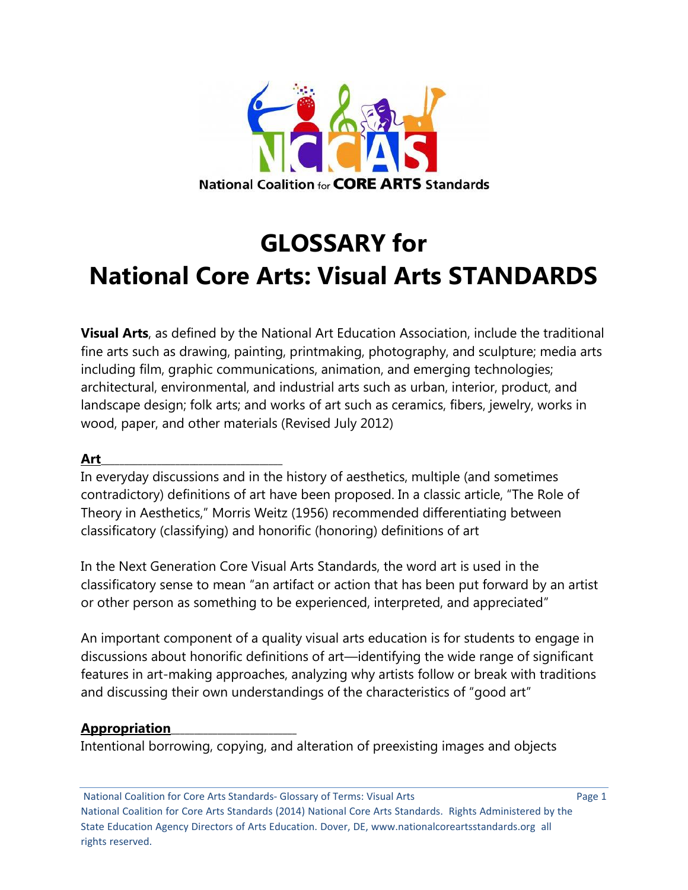

# **GLOSSARY for National Core Arts: Visual Arts STANDARDS**

**Visual Arts**, as defined by the National Art Education Association, include the traditional fine arts such as drawing, painting, printmaking, photography, and sculpture; media arts including film, graphic communications, animation, and emerging technologies; architectural, environmental, and industrial arts such as urban, interior, product, and landscape design; folk arts; and works of art such as ceramics, fibers, jewelry, works in wood, paper, and other materials (Revised July 2012)

## **Art**\_\_\_\_\_\_\_\_\_\_\_\_\_\_\_\_\_\_\_\_\_\_\_\_\_\_\_\_\_\_\_\_\_\_\_\_\_\_\_

In everyday discussions and in the history of aesthetics, multiple (and sometimes contradictory) definitions of art have been proposed. In a classic article, "The Role of Theory in Aesthetics," Morris Weitz (1956) recommended differentiating between classificatory (classifying) and honorific (honoring) definitions of art

In the Next Generation Core Visual Arts Standards, the word art is used in the classificatory sense to mean "an artifact or action that has been put forward by an artist or other person as something to be experienced, interpreted, and appreciated"

An important component of a quality visual arts education is for students to engage in discussions about honorific definitions of art—identifying the wide range of significant features in art-making approaches, analyzing why artists follow or break with traditions and discussing their own understandings of the characteristics of "good art"

#### **Appropriation**\_\_\_\_\_\_\_\_\_\_\_\_\_\_\_\_\_\_\_\_\_\_\_\_\_\_\_

Intentional borrowing, copying, and alteration of preexisting images and objects

National Coalition for Core Arts Standards- Glossary of Terms: Visual Arts Page 1 National Coalition for Core Arts Standards (2014) National Core Arts Standards. Rights Administered by the State Education Agency Directors of Arts Education. Dover, DE, www.nationalcoreartsstandards.org all rights reserved.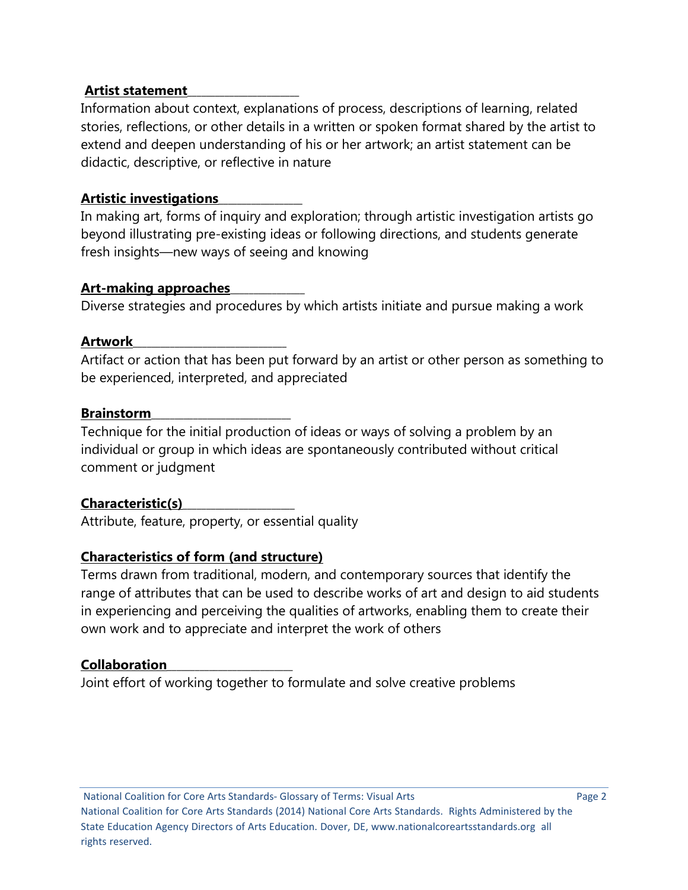## **Artist statement**\_\_\_\_\_\_\_\_\_\_\_\_\_\_\_\_\_\_\_\_\_\_\_\_

Information about context, explanations of process, descriptions of learning, related stories, reflections, or other details in a written or spoken format shared by the artist to extend and deepen understanding of his or her artwork; an artist statement can be didactic, descriptive, or reflective in nature

# **Artistic investigations**\_\_\_\_\_\_\_\_\_\_\_\_\_\_\_\_\_\_

In making art, forms of inquiry and exploration; through artistic investigation artists go beyond illustrating pre-existing ideas or following directions, and students generate fresh insights—new ways of seeing and knowing

## **Art-making approaches**\_\_\_\_\_\_\_\_\_\_\_\_\_\_\_\_

Diverse strategies and procedures by which artists initiate and pursue making a work

# **Artwork**\_\_\_\_\_\_\_\_\_\_\_\_\_\_\_\_\_\_\_\_\_\_\_\_\_\_\_\_\_\_\_\_\_

Artifact or action that has been put forward by an artist or other person as something to be experienced, interpreted, and appreciated

# **Brainstorm**\_\_\_\_\_\_\_\_\_\_\_\_\_\_\_\_\_\_\_\_\_\_\_\_\_\_\_\_\_\_

Technique for the initial production of ideas or ways of solving a problem by an individual or group in which ideas are spontaneously contributed without critical comment or judgment

# **Characteristic(s)**\_\_\_\_\_\_\_\_\_\_\_\_\_\_\_\_\_\_\_\_\_\_\_\_

Attribute, feature, property, or essential quality

# **Characteristics of form (and structure)**

Terms drawn from traditional, modern, and contemporary sources that identify the range of attributes that can be used to describe works of art and design to aid students in experiencing and perceiving the qualities of artworks, enabling them to create their own work and to appreciate and interpret the work of others

# **Collaboration**\_\_\_\_\_\_\_\_\_\_\_\_\_\_\_\_\_\_\_\_\_\_\_\_\_\_\_

Joint effort of working together to formulate and solve creative problems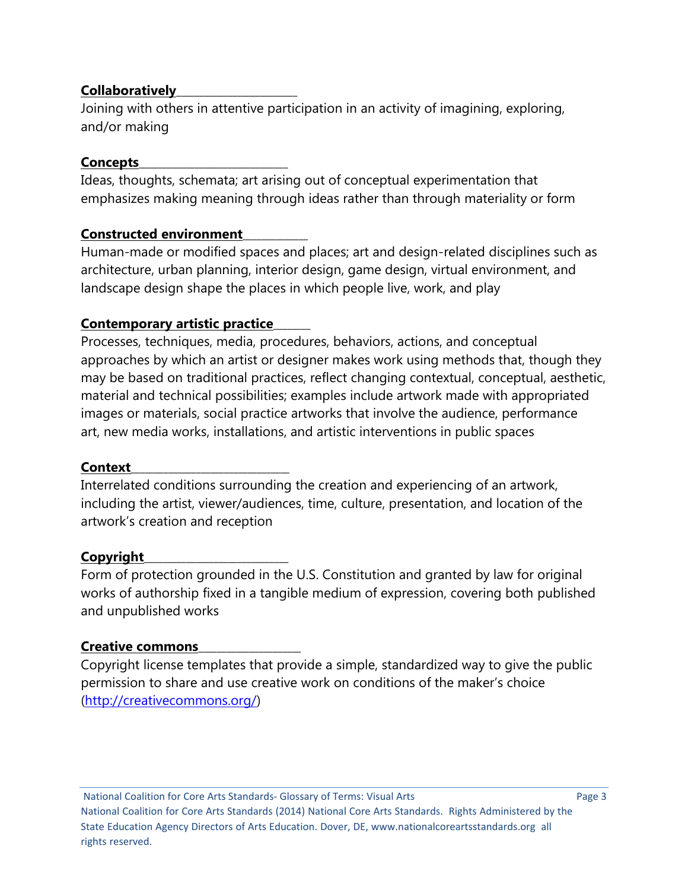## **Collaboratively**\_\_\_\_\_\_\_\_\_\_\_\_\_\_\_\_\_\_\_\_\_\_\_\_\_\_

Joining with others in attentive participation in an activity of imagining, exploring, and/or making

## **Concepts**\_\_\_\_\_\_\_\_\_\_\_\_\_\_\_\_\_\_\_\_\_\_\_\_\_\_\_\_\_\_\_\_

Ideas, thoughts, schemata; art arising out of conceptual experimentation that emphasizes making meaning through ideas rather than through materiality or form

# **Constructed environment**\_\_\_\_\_\_\_\_\_\_\_\_\_\_

Human-made or modified spaces and places; art and design-related disciplines such as architecture, urban planning, interior design, game design, virtual environment, and landscape design shape the places in which people live, work, and play

# **Contemporary artistic practice**\_\_\_\_\_\_\_\_

Processes, techniques, media, procedures, behaviors, actions, and conceptual approaches by which an artist or designer makes work using methods that, though they may be based on traditional practices, reflect changing contextual, conceptual, aesthetic, material and technical possibilities; examples include artwork made with appropriated images or materials, social practice artworks that involve the audience, performance art, new media works, installations, and artistic interventions in public spaces

## **Context**\_\_\_\_\_\_\_\_\_\_\_\_\_\_\_\_\_\_\_\_\_\_\_\_\_\_\_\_\_\_\_\_\_\_

Interrelated conditions surrounding the creation and experiencing of an artwork, including the artist, viewer/audiences, time, culture, presentation, and location of the artwork's creation and reception

## **Copyright**\_\_\_\_\_\_\_\_\_\_\_\_\_\_\_\_\_\_\_\_\_\_\_\_\_\_\_\_\_\_\_

Form of protection grounded in the U.S. Constitution and granted by law for original works of authorship fixed in a tangible medium of expression, covering both published and unpublished works

## **Creative commons**\_\_\_\_\_\_\_\_\_\_\_\_\_\_\_\_\_\_\_\_\_\_

Copyright license templates that provide a simple, standardized way to give the public permission to share and use creative work on conditions of the maker's choice [\(http://creativecommons.org/\)](http://creativecommons.org/)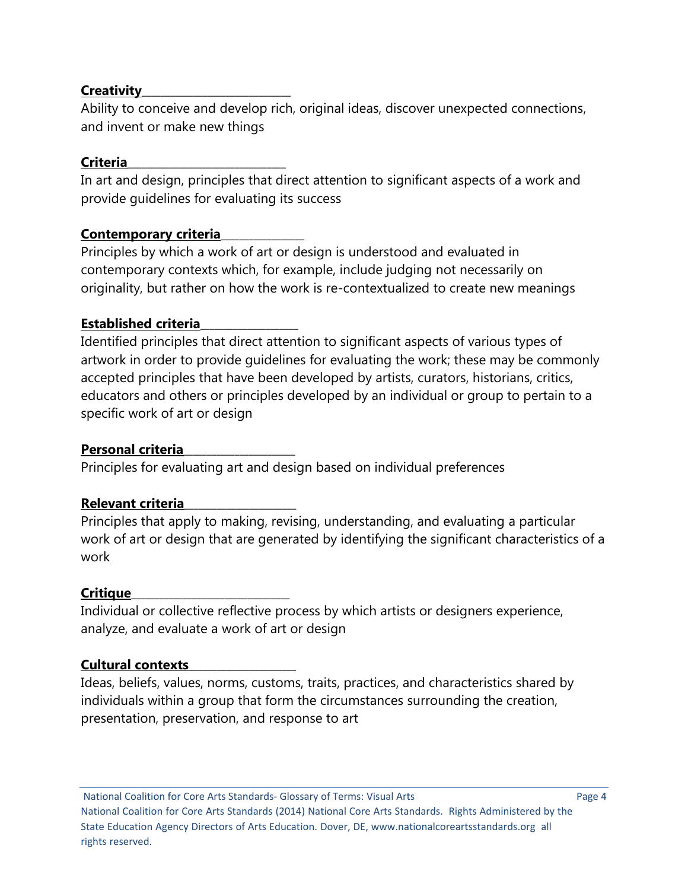## **Creativity**\_\_\_\_\_\_\_\_\_\_\_\_\_\_\_\_\_\_\_\_\_\_\_\_\_\_\_\_\_\_\_\_

Ability to conceive and develop rich, original ideas, discover unexpected connections, and invent or make new things

# **Criteria**\_\_\_\_\_\_\_\_\_\_\_\_\_\_\_\_\_\_\_\_\_\_\_\_\_\_\_\_\_\_\_\_\_\_

In art and design, principles that direct attention to significant aspects of a work and provide guidelines for evaluating its success

# **Contemporary criteria**\_\_\_\_\_\_\_\_\_\_\_\_\_\_\_\_\_\_

Principles by which a work of art or design is understood and evaluated in contemporary contexts which, for example, include judging not necessarily on originality, but rather on how the work is re-contextualized to create new meanings

# **Established criteria**\_\_\_\_\_\_\_\_\_\_\_\_\_\_\_\_\_\_\_\_\_

Identified principles that direct attention to significant aspects of various types of artwork in order to provide guidelines for evaluating the work; these may be commonly accepted principles that have been developed by artists, curators, historians, critics, educators and others or principles developed by an individual or group to pertain to a specific work of art or design

# **Personal criteria**\_\_\_\_\_\_\_\_\_\_\_\_\_\_\_\_\_\_\_\_\_\_\_\_

Principles for evaluating art and design based on individual preferences

# **Relevant criteria**\_\_\_\_\_\_\_\_\_\_\_\_\_\_\_\_\_\_\_\_\_\_\_\_

Principles that apply to making, revising, understanding, and evaluating a particular work of art or design that are generated by identifying the significant characteristics of a work

# **Critique**\_\_\_\_\_\_\_\_\_\_\_\_\_\_\_\_\_\_\_\_\_\_\_\_\_\_\_\_\_\_\_\_\_\_

Individual or collective reflective process by which artists or designers experience, analyze, and evaluate a work of art or design

# **Cultural contexts**\_\_\_\_\_\_\_\_\_\_\_\_\_\_\_\_\_\_\_\_\_\_\_

Ideas, beliefs, values, norms, customs, traits, practices, and characteristics shared by individuals within a group that form the circumstances surrounding the creation, presentation, preservation, and response to art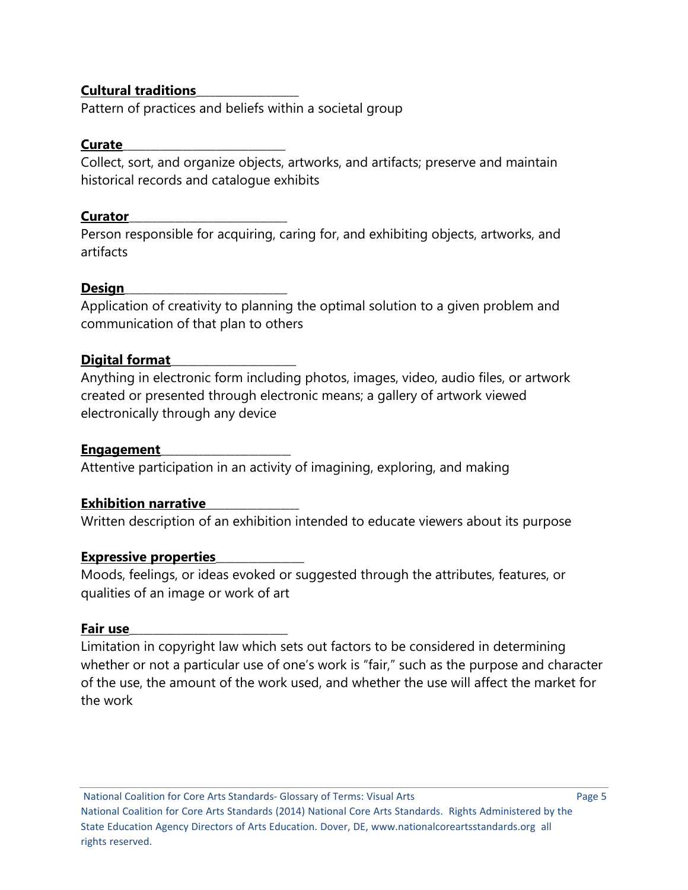## **Cultural traditions**\_\_\_\_\_\_\_\_\_\_\_\_\_\_\_\_\_\_\_\_\_\_

Pattern of practices and beliefs within a societal group

## **Curate**\_\_\_\_\_\_\_\_\_\_\_\_\_\_\_\_\_\_\_\_\_\_\_\_\_\_\_\_\_\_\_\_\_\_\_

Collect, sort, and organize objects, artworks, and artifacts; preserve and maintain historical records and catalogue exhibits

# **Curator**\_\_\_\_\_\_\_\_\_\_\_\_\_\_\_\_\_\_\_\_\_\_\_\_\_\_\_\_\_\_\_\_\_\_

Person responsible for acquiring, caring for, and exhibiting objects, artworks, and artifacts

# **Design**\_\_\_\_\_\_\_\_\_\_\_\_\_\_\_\_\_\_\_\_\_\_\_\_\_\_\_\_\_\_\_\_\_\_\_

Application of creativity to planning the optimal solution to a given problem and communication of that plan to others

# Digital format

Anything in electronic form including photos, images, video, audio files, or artwork created or presented through electronic means; a gallery of artwork viewed electronically through any device

# **Engagement**\_\_\_\_\_\_\_\_\_\_\_\_\_\_\_\_\_\_\_\_\_\_\_\_\_\_\_\_

Attentive participation in an activity of imagining, exploring, and making

# **Exhibition narrative**\_\_\_\_\_\_\_\_\_\_\_\_\_\_\_\_\_\_\_\_

Written description of an exhibition intended to educate viewers about its purpose

# **Expressive properties**\_\_\_\_\_\_\_\_\_\_\_\_\_\_\_\_\_\_\_

Moods, feelings, or ideas evoked or suggested through the attributes, features, or qualities of an image or work of art

## **Fair use**\_\_\_\_\_\_\_\_\_\_\_\_\_\_\_\_\_\_\_\_\_\_\_\_\_\_\_\_\_\_\_\_\_\_

Limitation in copyright law which sets out factors to be considered in determining whether or not a particular use of one's work is "fair," such as the purpose and character of the use, the amount of the work used, and whether the use will affect the market for the work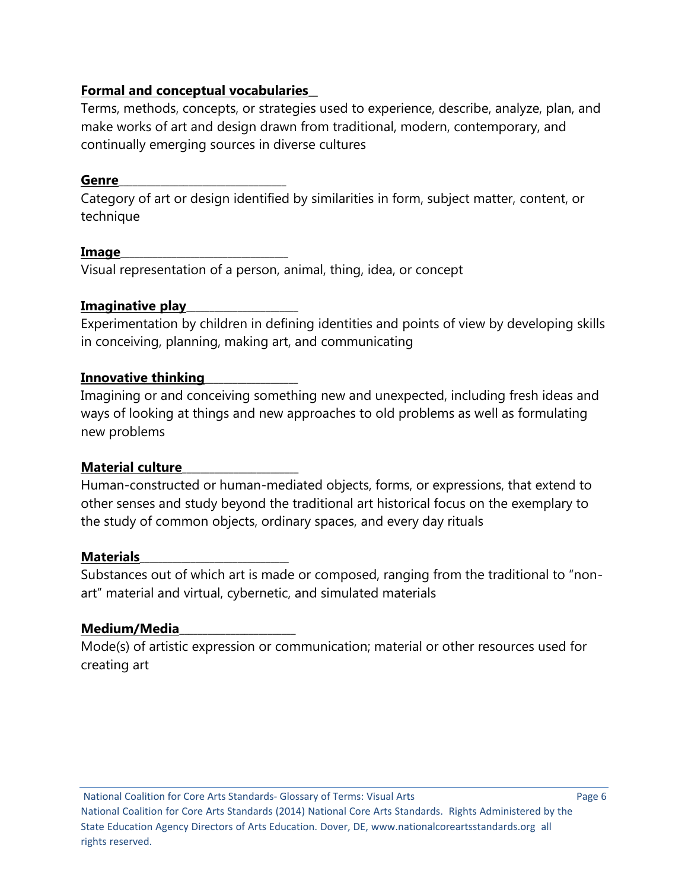# **Formal and conceptual vocabularies**\_\_

Terms, methods, concepts, or strategies used to experience, describe, analyze, plan, and make works of art and design drawn from traditional, modern, contemporary, and continually emerging sources in diverse cultures

## **Genre**\_\_\_\_\_\_\_\_\_\_\_\_\_\_\_\_\_\_\_\_\_\_\_\_\_\_\_\_\_\_\_\_\_\_\_\_

Category of art or design identified by similarities in form, subject matter, content, or technique

## **Image**\_\_\_\_\_\_\_\_\_\_\_\_\_\_\_\_\_\_\_\_\_\_\_\_\_\_\_\_\_\_\_\_\_\_\_\_

Visual representation of a person, animal, thing, idea, or concept

## **Imaginative play**\_\_\_\_\_\_\_\_\_\_\_\_\_\_\_\_\_\_\_\_\_\_\_\_

Experimentation by children in defining identities and points of view by developing skills in conceiving, planning, making art, and communicating

#### **Innovative thinking**\_\_\_\_\_\_\_\_\_\_\_\_\_\_\_\_\_\_\_\_

Imagining or and conceiving something new and unexpected, including fresh ideas and ways of looking at things and new approaches to old problems as well as formulating new problems

## **Material culture**\_\_\_\_\_\_\_\_\_\_\_\_\_\_\_\_\_\_\_\_\_\_\_\_\_

Human-constructed or human-mediated objects, forms, or expressions, that extend to other senses and study beyond the traditional art historical focus on the exemplary to the study of common objects, ordinary spaces, and every day rituals

#### **Materials**\_\_\_\_\_\_\_\_\_\_\_\_\_\_\_\_\_\_\_\_\_\_\_\_\_\_\_\_\_\_\_\_

Substances out of which art is made or composed, ranging from the traditional to "nonart" material and virtual, cybernetic, and simulated materials

## **Medium/Media**\_\_\_\_\_\_\_\_\_\_\_\_\_\_\_\_\_\_\_\_\_\_\_\_\_

Mode(s) of artistic expression or communication; material or other resources used for creating art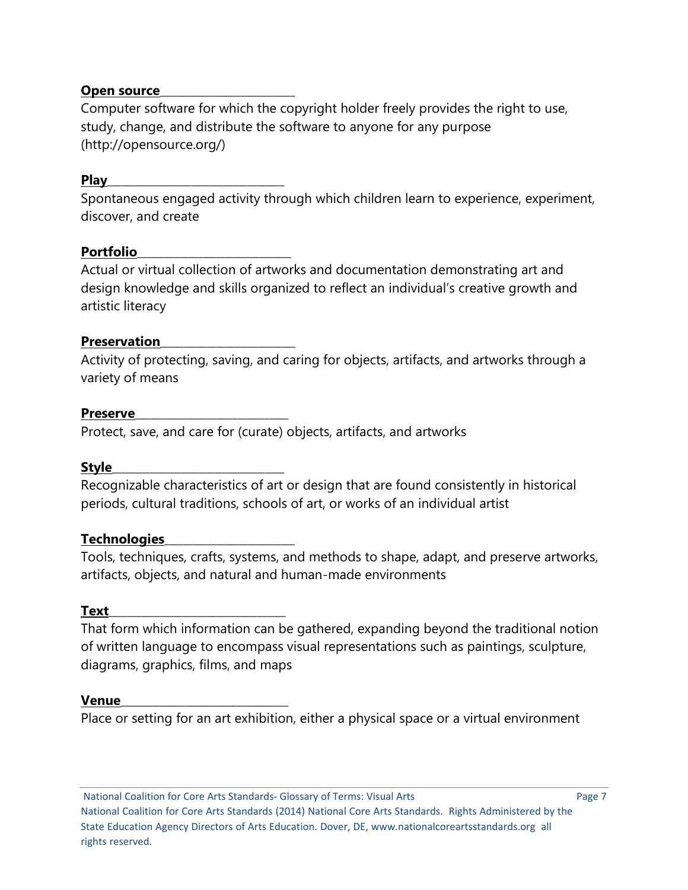#### **Open source**

Computer software for which the copyright holder freely provides the right to use, study, change, and distribute the software to anyone for any purpose (http://opensource.org/)

#### **Play**\_\_\_\_\_\_\_\_\_\_\_\_\_\_\_\_\_\_\_\_\_\_\_\_\_\_\_\_\_\_\_\_\_\_\_\_\_\_

Spontaneous engaged activity through which children learn to experience, experiment, discover, and create

#### **Portfolio**\_\_\_\_\_\_\_\_\_\_\_\_\_\_\_\_\_\_\_\_\_\_\_\_\_\_\_\_\_\_\_\_\_

Actual or virtual collection of artworks and documentation demonstrating art and design knowledge and skills organized to reflect an individual's creative growth and artistic literacy

#### **Preservation**\_\_\_\_\_\_\_\_\_\_\_\_\_\_\_\_\_\_\_\_\_\_\_\_\_\_\_\_\_

Activity of protecting, saving, and caring for objects, artifacts, and artworks through a variety of means

#### **Preserve**\_\_\_\_\_\_\_\_\_\_\_\_\_\_\_\_\_\_\_\_\_\_\_\_\_\_\_\_\_\_\_\_\_

Protect, save, and care for (curate) objects, artifacts, and artworks

#### **Style**\_\_\_\_\_\_\_\_\_\_\_\_\_\_\_\_\_\_\_\_\_\_\_\_\_\_\_\_\_\_\_\_\_\_\_\_\_

Recognizable characteristics of art or design that are found consistently in historical periods, cultural traditions, schools of art, or works of an individual artist

#### **Technologies**\_\_\_\_\_\_\_\_\_\_\_\_\_\_\_\_\_\_\_\_\_\_\_\_\_\_\_\_

Tools, techniques, crafts, systems, and methods to shape, adapt, and preserve artworks, artifacts, objects, and natural and human-made environments

#### **Text**\_\_\_\_\_\_\_\_\_\_\_\_\_\_\_\_\_\_\_\_\_\_\_\_\_\_\_\_\_\_\_\_\_\_\_\_\_\_

That form which information can be gathered, expanding beyond the traditional notion of written language to encompass visual representations such as paintings, sculpture, diagrams, graphics, films, and maps

#### **Venue**\_\_\_\_\_\_\_\_\_\_\_\_\_\_\_\_\_\_\_\_\_\_\_\_\_\_\_\_\_\_\_\_\_\_\_\_

Place or setting for an art exhibition, either a physical space or a virtual environment

National Coalition for Core Arts Standards- Glossary of Terms: Visual Arts Page 7 National Coalition for Core Arts Standards (2014) National Core Arts Standards. Rights Administered by the State Education Agency Directors of Arts Education. Dover, DE, www.nationalcoreartsstandards.org all rights reserved.